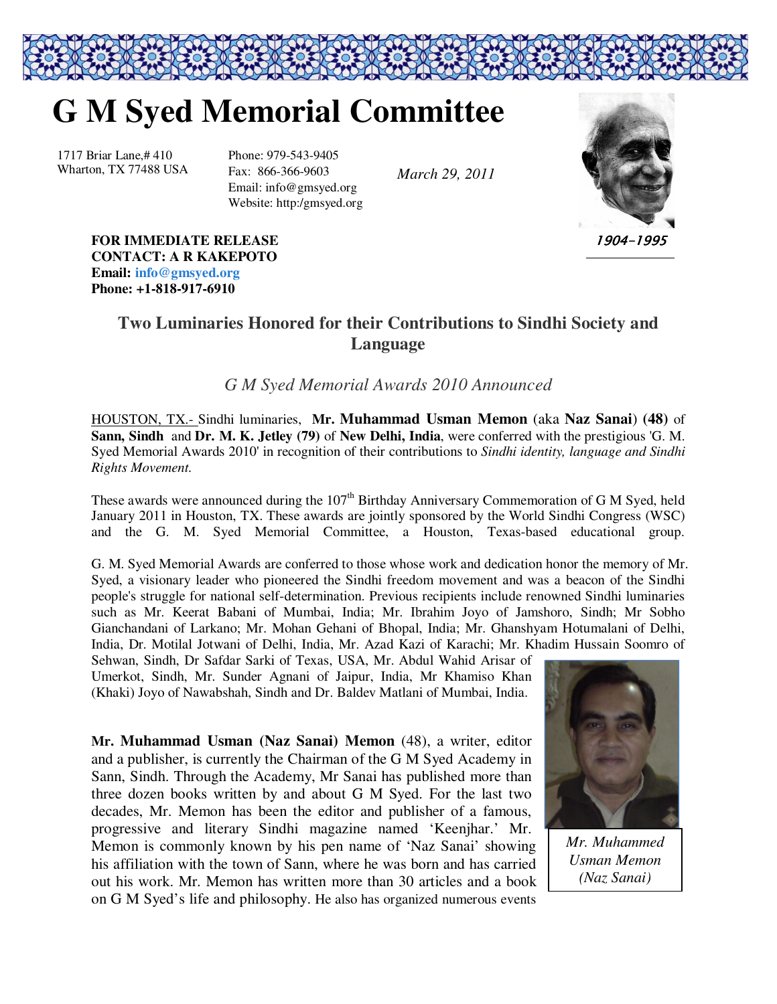## **G M Syed Memorial Committee**

1717 Briar Lane,# 410 Wharton, TX 77488 USA Phone: 979-543-9405 Fax: 866-366-9603 Email: info@gmsyed.org Website: http:/gmsyed.org

*March 29, 2011* 



1904-1995

**FOR IMMEDIATE RELEASE CONTACT: A R KAKEPOTO Email: info@gmsyed.org Phone: +1-818-917-6910** 

## **Two Luminaries Honored for their Contributions to Sindhi Society and Language**

## *G M Syed Memorial Awards 2010 Announced*

HOUSTON, TX.- Sindhi luminaries, **Mr. Muhammad Usman Memon** (aka **Naz Sanai**) **(48)** of **Sann, Sindh** and **Dr. M. K. Jetley (79)** of **New Delhi, India**, were conferred with the prestigious 'G. M. Syed Memorial Awards 2010' in recognition of their contributions to *Sindhi identity, language and Sindhi Rights Movement.* 

These awards were announced during the  $107<sup>th</sup>$  Birthday Anniversary Commemoration of G M Syed, held January 2011 in Houston, TX. These awards are jointly sponsored by the World Sindhi Congress (WSC) and the G. M. Syed Memorial Committee, a Houston, Texas-based educational group.

G. M. Syed Memorial Awards are conferred to those whose work and dedication honor the memory of Mr. Syed, a visionary leader who pioneered the Sindhi freedom movement and was a beacon of the Sindhi people's struggle for national self-determination. Previous recipients include renowned Sindhi luminaries such as Mr. Keerat Babani of Mumbai, India; Mr. Ibrahim Joyo of Jamshoro, Sindh; Mr Sobho Gianchandani of Larkano; Mr. Mohan Gehani of Bhopal, India; Mr. Ghanshyam Hotumalani of Delhi, India, Dr. Motilal Jotwani of Delhi, India, Mr. Azad Kazi of Karachi; Mr. Khadim Hussain Soomro of

Sehwan, Sindh, Dr Safdar Sarki of Texas, USA, Mr. Abdul Wahid Arisar of Umerkot, Sindh, Mr. Sunder Agnani of Jaipur, India, Mr Khamiso Khan (Khaki) Joyo of Nawabshah, Sindh and Dr. Baldev Matlani of Mumbai, India.

**Mr. Muhammad Usman (Naz Sanai) Memon** (48), a writer, editor and a publisher, is currently the Chairman of the G M Syed Academy in Sann, Sindh. Through the Academy, Mr Sanai has published more than three dozen books written by and about G M Syed. For the last two decades, Mr. Memon has been the editor and publisher of a famous, progressive and literary Sindhi magazine named 'Keenjhar.' Mr. Memon is commonly known by his pen name of 'Naz Sanai' showing his affiliation with the town of Sann, where he was born and has carried out his work. Mr. Memon has written more than 30 articles and a book on G M Syed's life and philosophy. He also has organized numerous events



*Mr. Muhammed Usman Memon (Naz Sanai)*